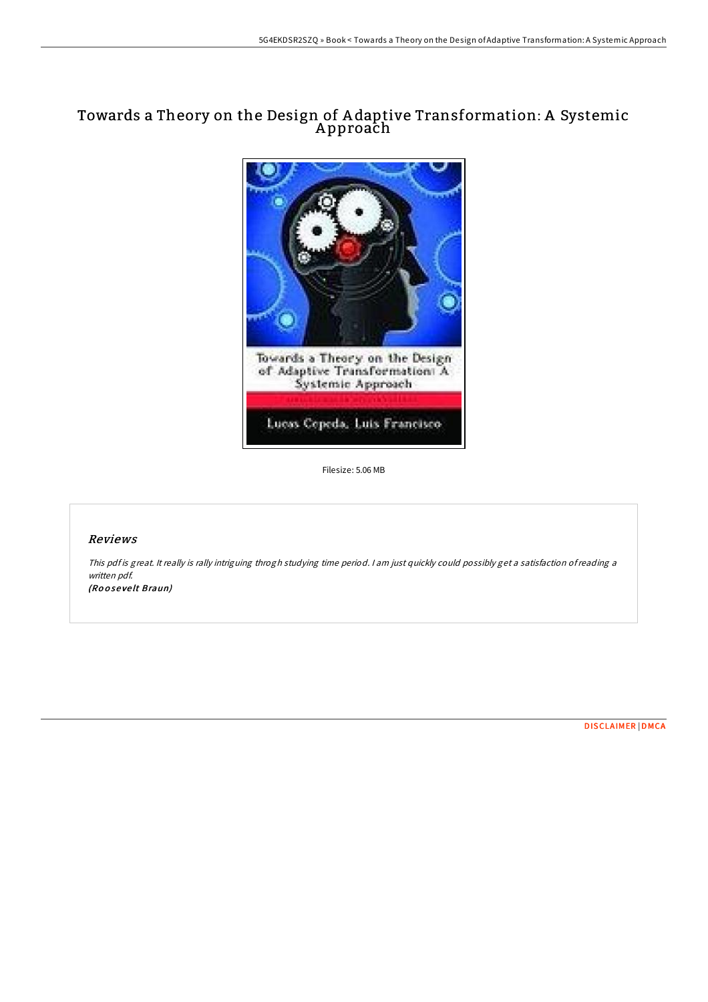## Towards a Theory on the Design of A daptive Transformation: A Systemic A pproach



Filesize: 5.06 MB

## Reviews

This pdf is great. It really is rally intriguing throgh studying time period. <sup>I</sup> am just quickly could possibly get <sup>a</sup> satisfaction ofreading <sup>a</sup> written pdf.

(Ro <sup>o</sup> se ve lt Braun)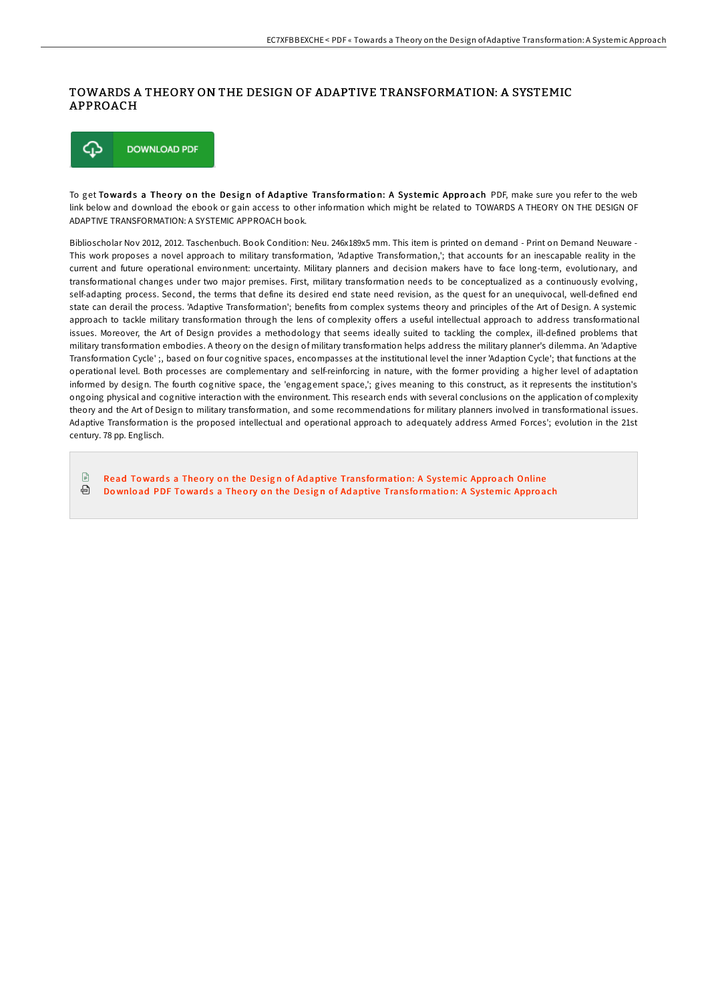## TOWARDS A THEORY ON THE DESIGN OF ADAPTIVE TRANSFORMATION: A SYSTEMIC APPROACH



To get Towards a Theory on the Design of Adaptive Transformation: A Systemic Approach PDF, make sure you refer to the web link below and download the ebook or gain access to other information which might be related to TOWARDS A THEORY ON THE DESIGN OF ADAPTIVE TRANSFORMATION: A SYSTEMIC APPROACH book.

Biblioscholar Nov 2012, 2012. Taschenbuch. Book Condition: Neu. 246x189x5 mm. This item is printed on demand - Print on Demand Neuware - This work proposes a novel approach to military transformation, 'Adaptive Transformation,'; that accounts for an inescapable reality in the current and future operational environment: uncertainty. Military planners and decision makers have to face long-term, evolutionary, and transformational changes under two major premises. First, military transformation needs to be conceptualized as a continuously evolving, self-adapting process. Second, the terms that define its desired end state need revision, as the quest for an unequivocal, well-defined end state can derail the process. 'Adaptive Transformation'; benefits from complex systems theory and principles of the Art of Design. A systemic approach to tackle military transformation through the lens of complexity offers a useful intellectual approach to address transformational issues. Moreover, the Art of Design provides a methodology that seems ideally suited to tackling the complex, ill-defined problems that military transformation embodies. A theory on the design of military transformation helps address the military planner's dilemma. An 'Adaptive Transformation Cycle' ;, based on four cognitive spaces, encompasses at the institutional level the inner 'Adaption Cycle'; that functions at the operational level. Both processes are complementary and self-reinforcing in nature, with the former providing a higher level of adaptation informed by design. The fourth cognitive space, the 'engagement space,'; gives meaning to this construct, as it represents the institution's ongoing physical and cognitive interaction with the environment. This research ends with several conclusions on the application of complexity theory and the Art of Design to military transformation, and some recommendations for military planners involved in transformational issues. Adaptive Transformation is the proposed intellectual and operational approach to adequately address Armed Forces'; evolution in the 21st century. 78 pp. Englisch.

 $\mathbb{P}$ Read Towards a Theory on the Design of Adaptive Transfo[rmatio](http://almighty24.tech/towards-a-theory-on-the-design-of-adaptive-trans-1.html)n: A Systemic Approach Online ⊕ Download PDF Towards a Theory on the Design of Adaptive Transfo[rmatio](http://almighty24.tech/towards-a-theory-on-the-design-of-adaptive-trans-1.html)n: A Systemic Approach